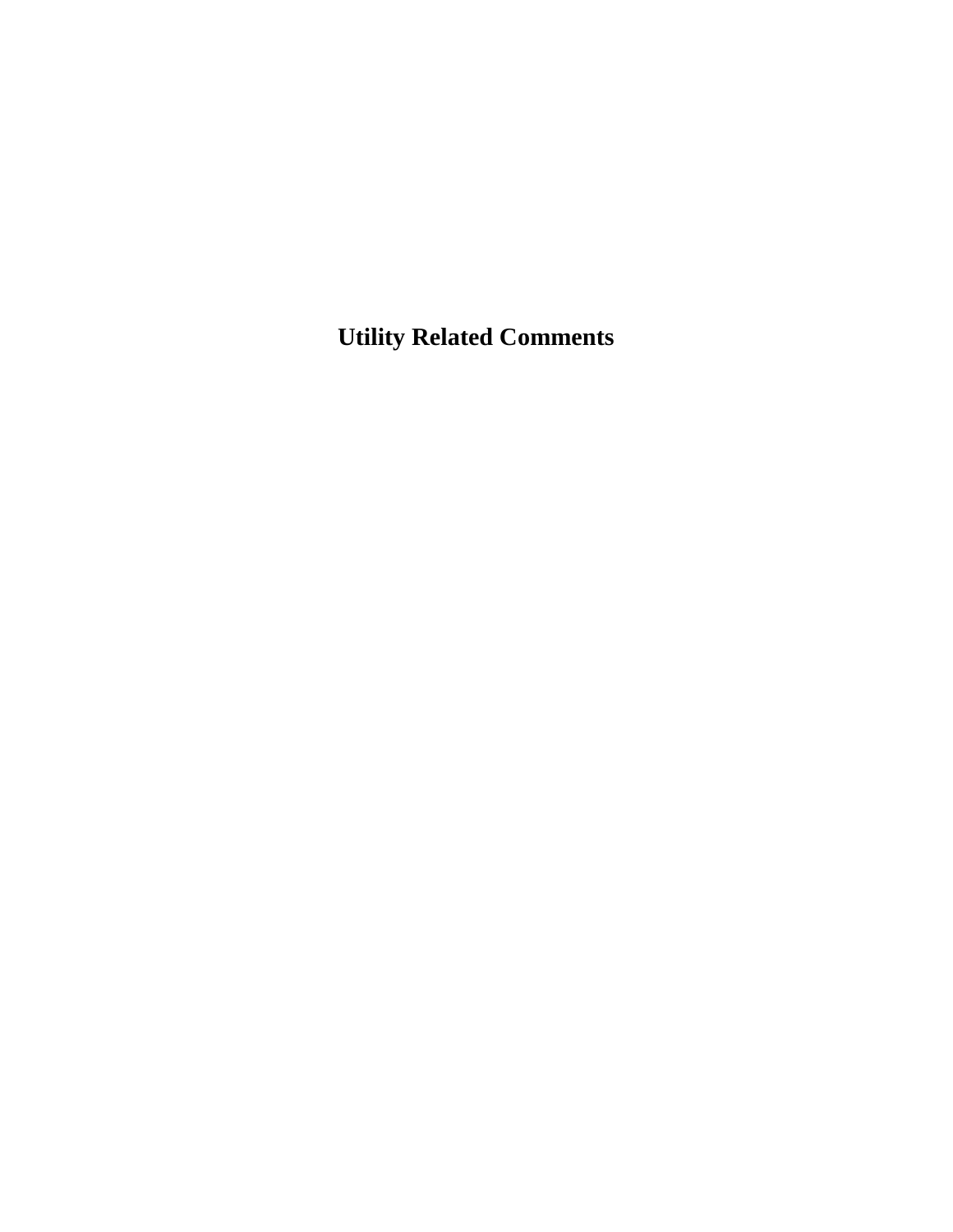**Utility Related Comments**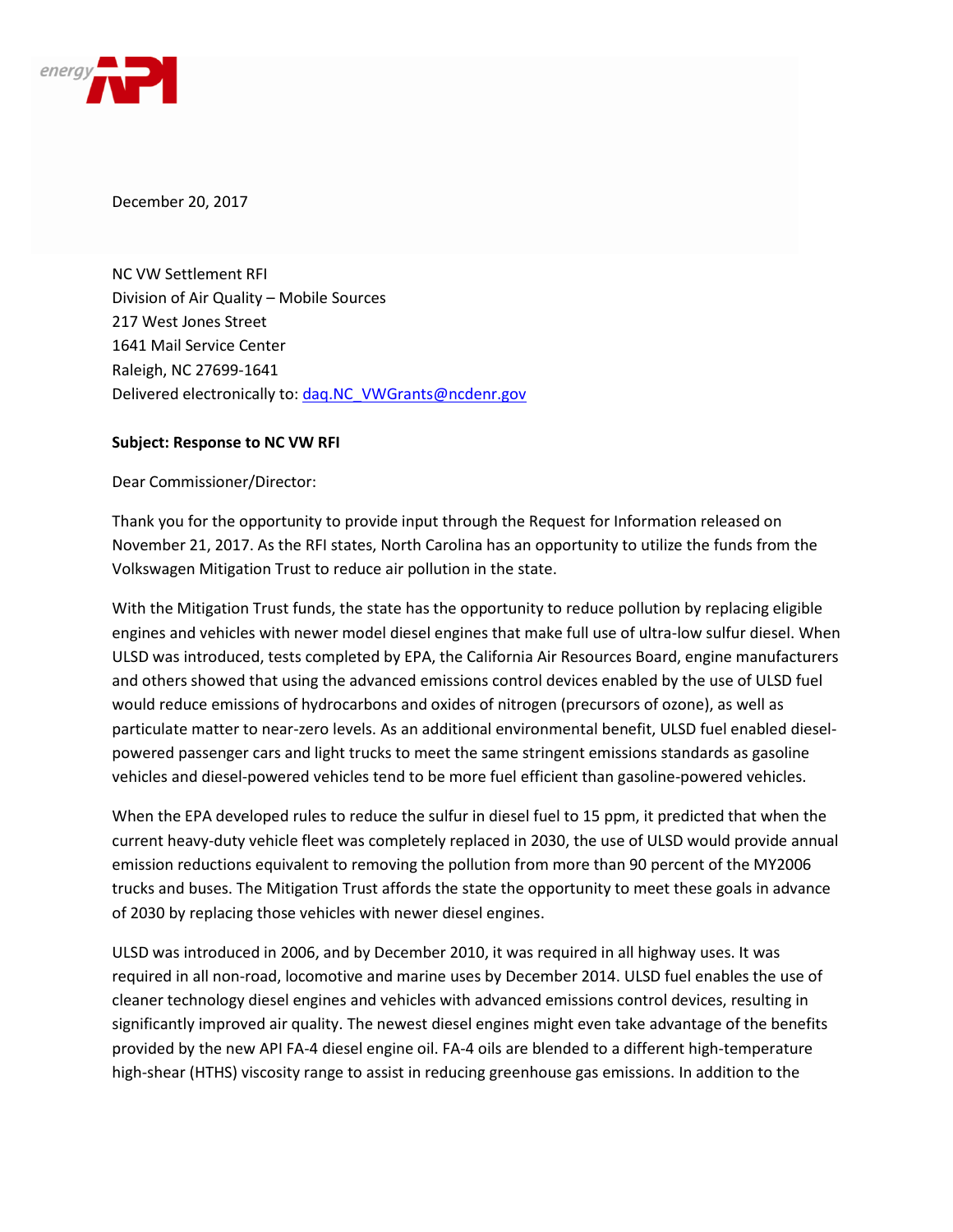

December 20, 2017

NC VW Settlement RFI Division of Air Quality – Mobile Sources 217 West Jones Street 1641 Mail Service Center Raleigh, NC 27699-1641 Delivered electronically to: [daq.NC\\_VWGrants@ncdenr.gov](mailto:daq.NC_VWGrants@ncdenr.gov)

#### **Subject: Response to NC VW RFI**

Dear Commissioner/Director:

Thank you for the opportunity to provide input through the Request for Information released on November 21, 2017. As the RFI states, North Carolina has an opportunity to utilize the funds from the Volkswagen Mitigation Trust to reduce air pollution in the state.

With the Mitigation Trust funds, the state has the opportunity to reduce pollution by replacing eligible engines and vehicles with newer model diesel engines that make full use of ultra-low sulfur diesel. When ULSD was introduced, tests completed by EPA, the California Air Resources Board, engine manufacturers and others showed that using the advanced emissions control devices enabled by the use of ULSD fuel would reduce emissions of hydrocarbons and oxides of nitrogen (precursors of ozone), as well as particulate matter to near-zero levels. As an additional environmental benefit, ULSD fuel enabled dieselpowered passenger cars and light trucks to meet the same stringent emissions standards as gasoline vehicles and diesel-powered vehicles tend to be more fuel efficient than gasoline-powered vehicles.

When the EPA developed rules to reduce the sulfur in diesel fuel to 15 ppm, it predicted that when the current heavy-duty vehicle fleet was completely replaced in 2030, the use of ULSD would provide annual emission reductions equivalent to removing the pollution from more than 90 percent of the MY2006 trucks and buses. The Mitigation Trust affords the state the opportunity to meet these goals in advance of 2030 by replacing those vehicles with newer diesel engines.

ULSD was introduced in 2006, and by December 2010, it was required in all highway uses. It was required in all non-road, locomotive and marine uses by December 2014. ULSD fuel enables the use of cleaner technology diesel engines and vehicles with advanced emissions control devices, resulting in significantly improved air quality. The newest diesel engines might even take advantage of the benefits provided by the new API FA-4 diesel engine oil. FA-4 oils are blended to a different high-temperature high-shear (HTHS) viscosity range to assist in reducing greenhouse gas emissions. In addition to the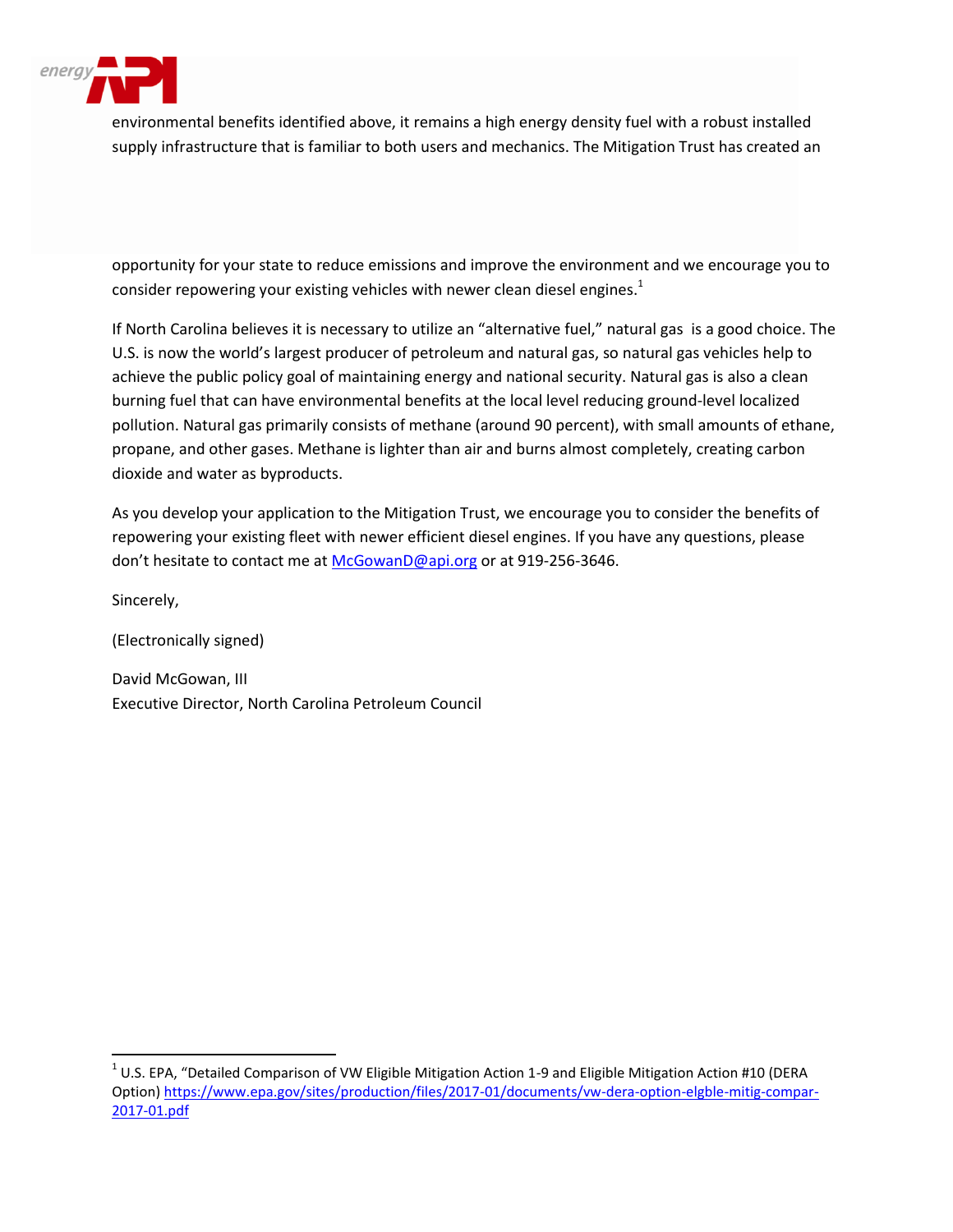

environmental benefits identified above, it remains a high energy density fuel with a robust installed supply infrastructure that is familiar to both users and mechanics. The Mitigation Trust has created an

opportunity for your state to reduce emissions and improve the environment and we encourage you to consider repowering your existing vehicles with newer clean diesel engines. $1$ 

If North Carolina believes it is necessary to utilize an "alternative fuel," natural gas is a good choice. The U.S. is now the world's largest producer of petroleum and natural gas, so natural gas vehicles help to achieve the public policy goal of maintaining energy and national security. Natural gas is also a clean burning fuel that can have environmental benefits at the local level reducing ground-level localized pollution. Natural gas primarily consists of methane (around 90 percent), with small amounts of ethane, propane, and other gases. Methane is lighter than air and burns almost completely, creating carbon dioxide and water as byproducts.

As you develop your application to the Mitigation Trust, we encourage you to consider the benefits of repowering your existing fleet with newer efficient diesel engines. If you have any questions, please don't hesitate to contact me at [McGowanD@api.org](mailto:McGowanD@api.org) or at 919-256-3646.

Sincerely,

 $\overline{\phantom{a}}$ 

(Electronically signed)

David McGowan, III Executive Director, North Carolina Petroleum Council

<sup>&</sup>lt;sup>1</sup> U.S. EPA, "Detailed Comparison of VW Eligible Mitigation Action 1-9 and Eligible Mitigation Action #10 (DERA Option[\) https://www.epa.gov/sites/production/files/2017-01/documents/vw-dera-option-elgble-mitig-compar-](https://www.epa.gov/sites/production/files/2017-01/documents/vw-dera-option-elgble-mitig-compar-2017-01.pdf)[2017-01.pdf](https://www.epa.gov/sites/production/files/2017-01/documents/vw-dera-option-elgble-mitig-compar-2017-01.pdf)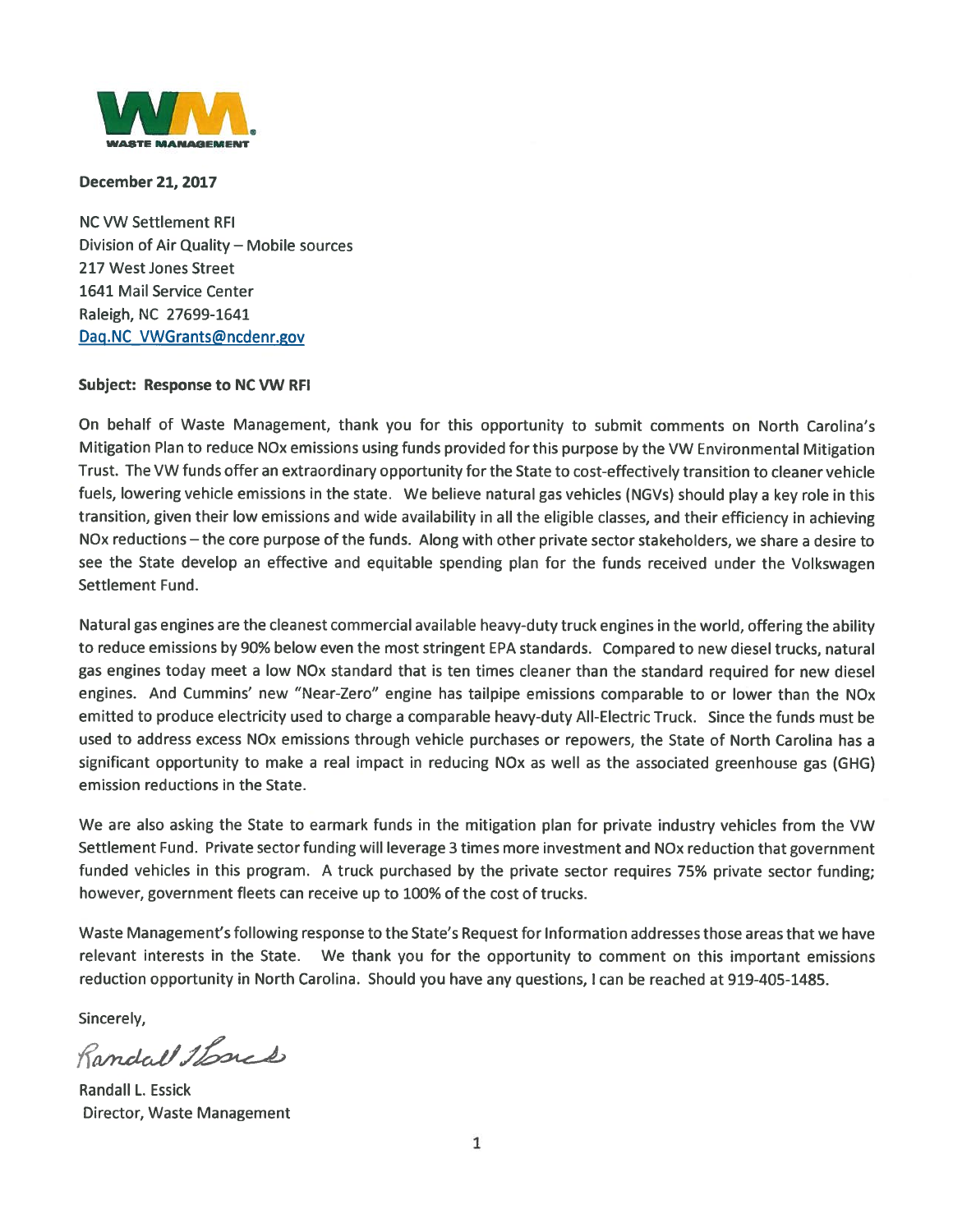

#### **December 21, 2017**

**NC VW Settlement RFI** Division of Air Quality - Mobile sources 217 West Jones Street 1641 Mail Service Center Raleigh, NC 27699-1641 Dag.NC VWGrants@ncdenr.gov

#### **Subject: Response to NC VW RFI**

On behalf of Waste Management, thank you for this opportunity to submit comments on North Carolina's Mitigation Plan to reduce NOx emissions using funds provided for this purpose by the VW Environmental Mitigation Trust. The VW funds offer an extraordinary opportunity for the State to cost-effectively transition to cleaner vehicle fuels, lowering vehicle emissions in the state. We believe natural gas vehicles (NGVs) should play a key role in this transition, given their low emissions and wide availability in all the eligible classes, and their efficiency in achieving NOx reductions - the core purpose of the funds. Along with other private sector stakeholders, we share a desire to see the State develop an effective and equitable spending plan for the funds received under the Volkswagen Settlement Fund.

Natural gas engines are the cleanest commercial available heavy-duty truck engines in the world, offering the ability to reduce emissions by 90% below even the most stringent EPA standards. Compared to new diesel trucks, natural gas engines today meet a low NOx standard that is ten times cleaner than the standard required for new diesel engines. And Cummins' new "Near-Zero" engine has tailpipe emissions comparable to or lower than the NOx emitted to produce electricity used to charge a comparable heavy-duty All-Electric Truck. Since the funds must be used to address excess NOx emissions through vehicle purchases or repowers, the State of North Carolina has a significant opportunity to make a real impact in reducing NOx as well as the associated greenhouse gas (GHG) emission reductions in the State.

We are also asking the State to earmark funds in the mitigation plan for private industry vehicles from the VW Settlement Fund. Private sector funding will leverage 3 times more investment and NOx reduction that government funded vehicles in this program. A truck purchased by the private sector requires 75% private sector funding; however, government fleets can receive up to 100% of the cost of trucks.

Waste Management's following response to the State's Request for Information addresses those areas that we have relevant interests in the State. We thank you for the opportunity to comment on this important emissions reduction opportunity in North Carolina. Should you have any questions, I can be reached at 919-405-1485.

Sincerely,

Randal 1 Louis

**Randall L. Essick Director, Waste Management**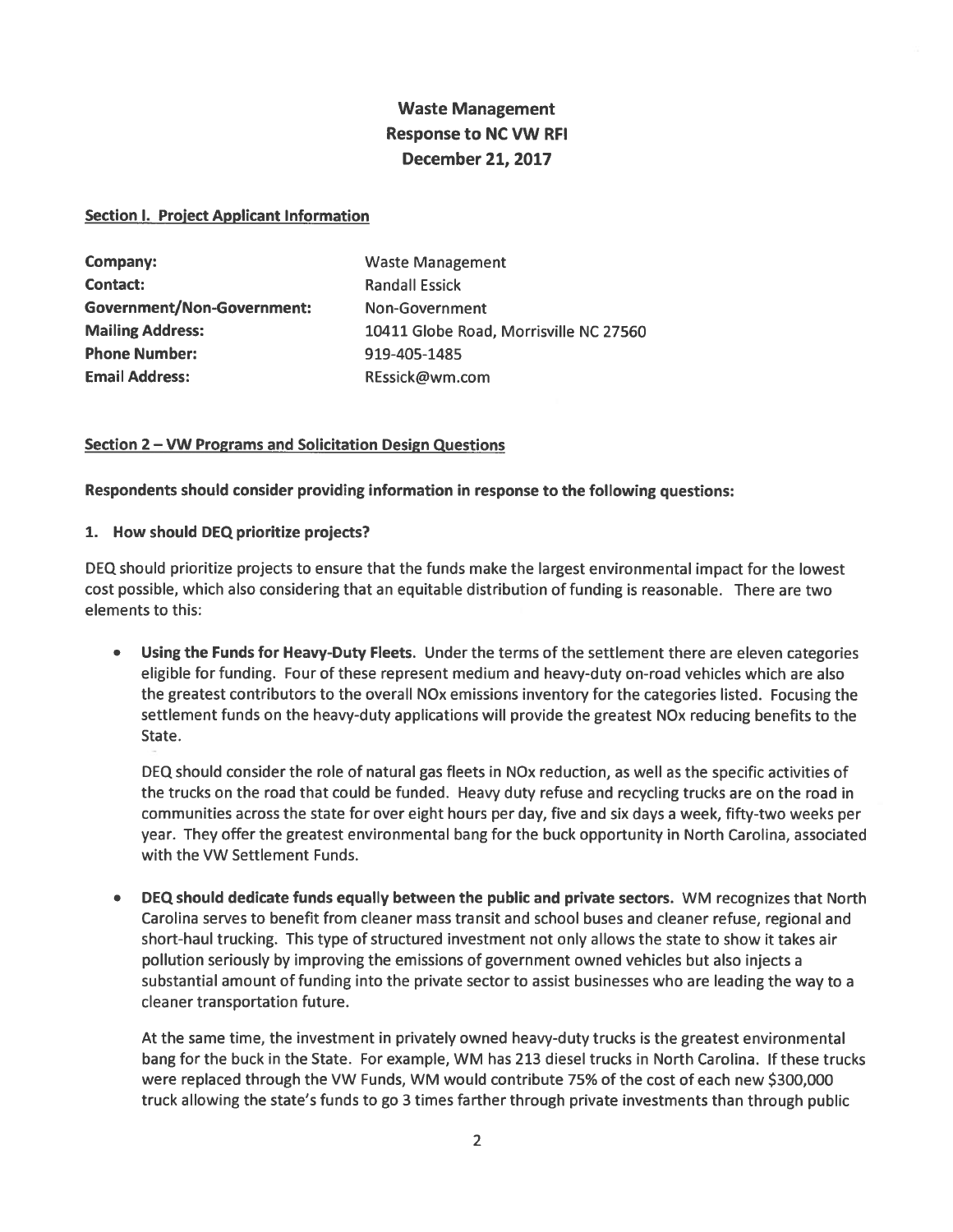# **Waste Management Response to NC VW RFI December 21, 2017**

#### **Section I. Project Applicant Information**

| Company:                          | <b>Waste Management</b>                |
|-----------------------------------|----------------------------------------|
| <b>Contact:</b>                   | <b>Randall Essick</b>                  |
| <b>Government/Non-Government:</b> | Non-Government                         |
| <b>Mailing Address:</b>           | 10411 Globe Road, Morrisville NC 27560 |
| <b>Phone Number:</b>              | 919-405-1485                           |
| <b>Email Address:</b>             | REssick@wm.com                         |

#### Section 2 - VW Programs and Solicitation Design Questions

Respondents should consider providing information in response to the following questions:

#### 1. How should DEQ prioritize projects?

DEQ should prioritize projects to ensure that the funds make the largest environmental impact for the lowest cost possible, which also considering that an equitable distribution of funding is reasonable. There are two elements to this:

Using the Funds for Heavy-Duty Fleets. Under the terms of the settlement there are eleven categories eligible for funding. Four of these represent medium and heavy-duty on-road vehicles which are also the greatest contributors to the overall NO<sub>x</sub> emissions inventory for the categories listed. Focusing the settlement funds on the heavy-duty applications will provide the greatest NO<sub>x</sub> reducing benefits to the State.

DEQ should consider the role of natural gas fleets in NO<sub>x</sub> reduction, as well as the specific activities of the trucks on the road that could be funded. Heavy duty refuse and recycling trucks are on the road in communities across the state for over eight hours per day, five and six days a week, fifty-two weeks per year. They offer the greatest environmental bang for the buck opportunity in North Carolina, associated with the VW Settlement Funds.

DEQ should dedicate funds equally between the public and private sectors. WM recognizes that North Carolina serves to benefit from cleaner mass transit and school buses and cleaner refuse, regional and short-haul trucking. This type of structured investment not only allows the state to show it takes air pollution seriously by improving the emissions of government owned vehicles but also injects a substantial amount of funding into the private sector to assist businesses who are leading the way to a cleaner transportation future.

At the same time, the investment in privately owned heavy-duty trucks is the greatest environmental bang for the buck in the State. For example, WM has 213 diesel trucks in North Carolina. If these trucks were replaced through the VW Funds, WM would contribute 75% of the cost of each new \$300,000 truck allowing the state's funds to go 3 times farther through private investments than through public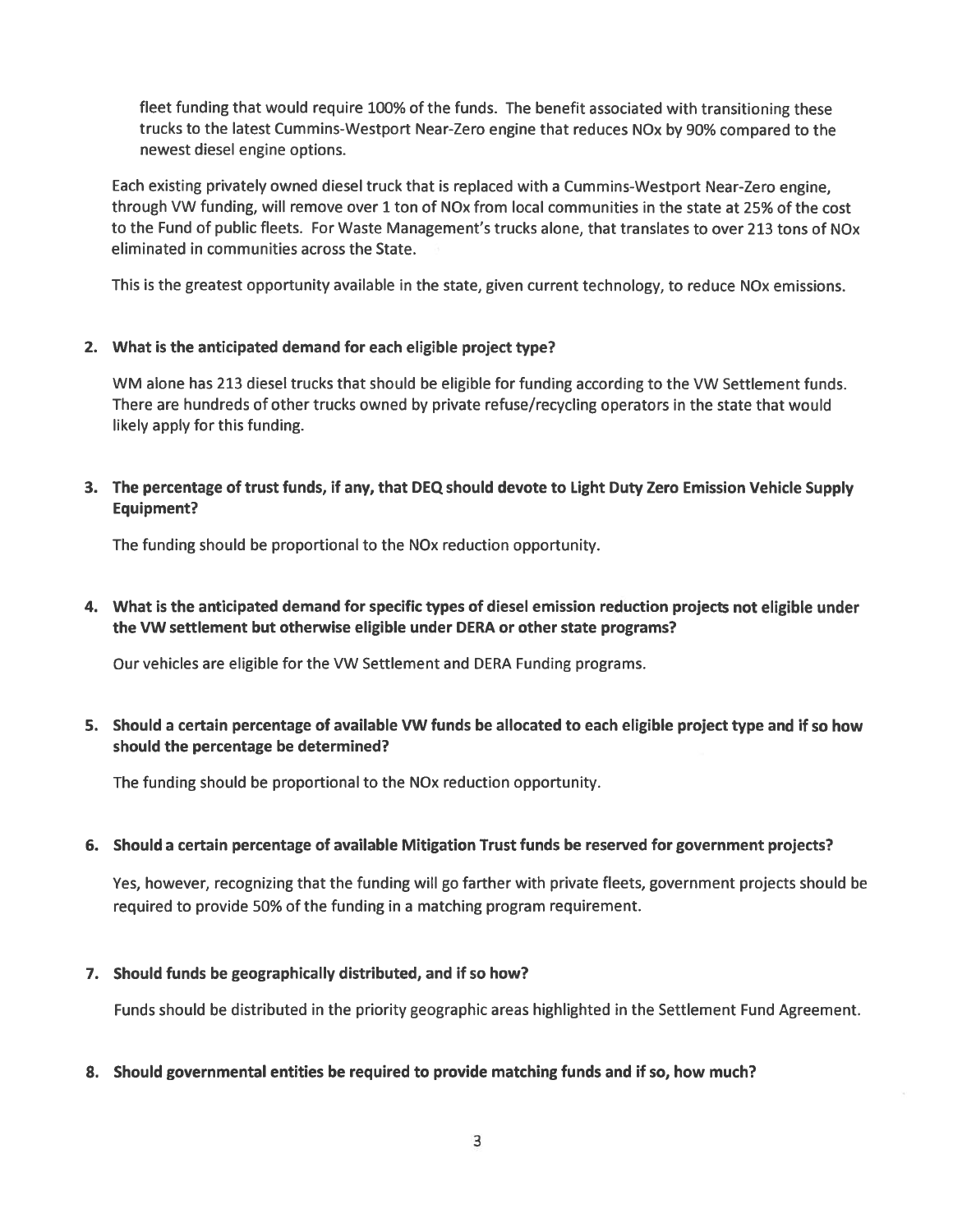fleet funding that would require 100% of the funds. The benefit associated with transitioning these trucks to the latest Cummins-Westport Near-Zero engine that reduces NOx by 90% compared to the newest diesel engine options.

Each existing privately owned diesel truck that is replaced with a Cummins-Westport Near-Zero engine, through VW funding, will remove over 1 ton of NOx from local communities in the state at 25% of the cost to the Fund of public fleets. For Waste Management's trucks alone, that translates to over 213 tons of NOx eliminated in communities across the State.

This is the greatest opportunity available in the state, given current technology, to reduce NOx emissions.

#### 2. What is the anticipated demand for each eligible project type?

WM alone has 213 diesel trucks that should be eligible for funding according to the VW Settlement funds. There are hundreds of other trucks owned by private refuse/recycling operators in the state that would likely apply for this funding.

3. The percentage of trust funds, if any, that DEQ should devote to Light Duty Zero Emission Vehicle Supply Equipment?

The funding should be proportional to the NO<sub>x</sub> reduction opportunity.

4. What is the anticipated demand for specific types of diesel emission reduction projects not eligible under the VW settlement but otherwise eligible under DERA or other state programs?

Our vehicles are eligible for the VW Settlement and DERA Funding programs.

#### 5. Should a certain percentage of available VW funds be allocated to each eligible project type and if so how should the percentage be determined?

The funding should be proportional to the NOx reduction opportunity.

#### 6. Should a certain percentage of available Mitigation Trust funds be reserved for government projects?

Yes, however, recognizing that the funding will go farther with private fleets, government projects should be required to provide 50% of the funding in a matching program requirement.

#### 7. Should funds be geographically distributed, and if so how?

Funds should be distributed in the priority geographic areas highlighted in the Settlement Fund Agreement.

#### 8. Should governmental entities be required to provide matching funds and if so, how much?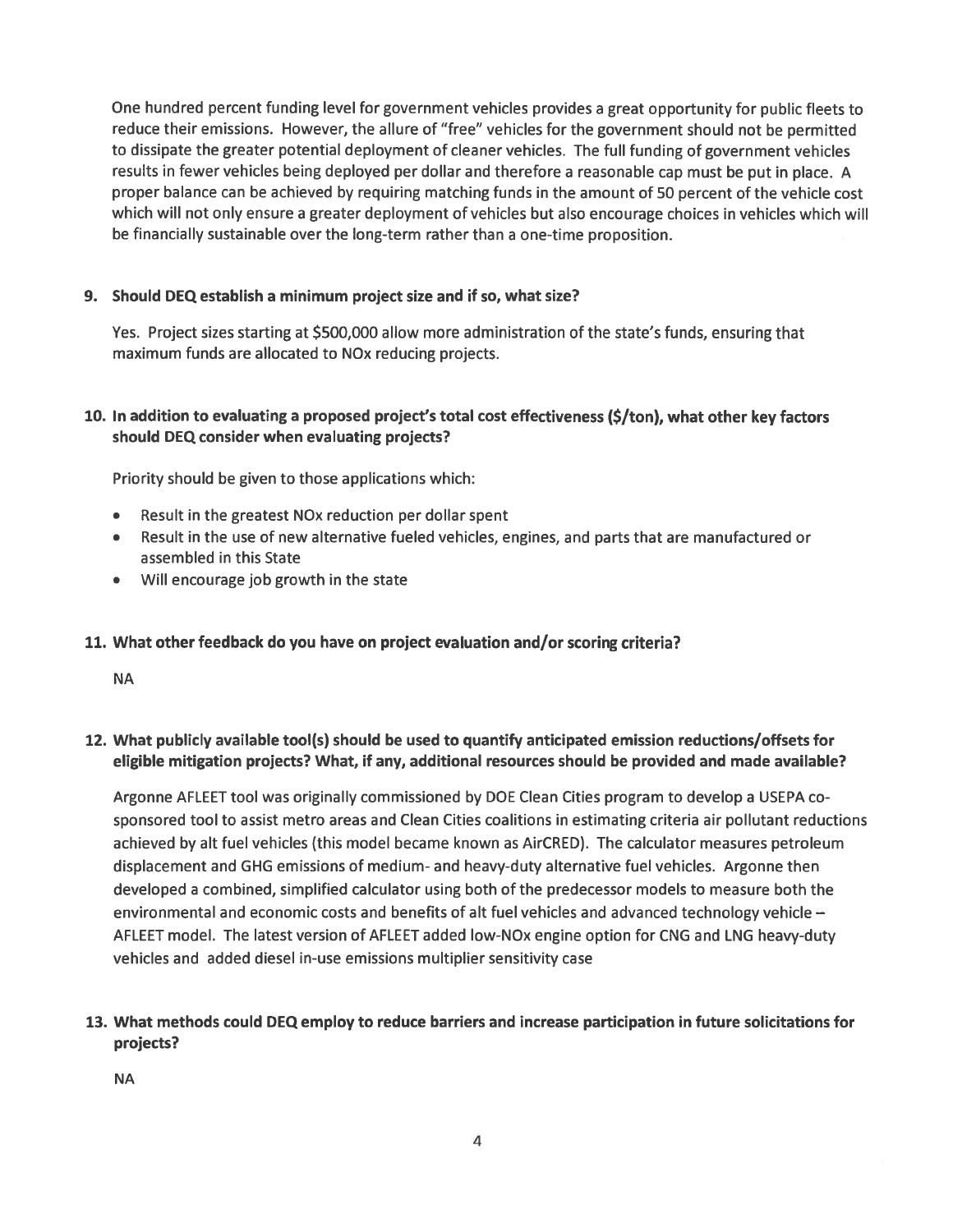One hundred percent funding level for government vehicles provides a great opportunity for public fleets to reduce their emissions. However, the allure of "free" vehicles for the government should not be permitted to dissipate the greater potential deployment of cleaner vehicles. The full funding of government vehicles results in fewer vehicles being deployed per dollar and therefore a reasonable cap must be put in place. A proper balance can be achieved by requiring matching funds in the amount of 50 percent of the vehicle cost which will not only ensure a greater deployment of vehicles but also encourage choices in vehicles which will be financially sustainable over the long-term rather than a one-time proposition.

# 9. Should DEQ establish a minimum project size and if so, what size?

Yes. Project sizes starting at \$500,000 allow more administration of the state's funds, ensuring that maximum funds are allocated to NOx reducing projects.

# 10. In addition to evaluating a proposed project's total cost effectiveness (\$/ton), what other key factors should DEQ consider when evaluating projects?

Priority should be given to those applications which:

- Result in the greatest NOx reduction per dollar spent
- Result in the use of new alternative fueled vehicles, engines, and parts that are manufactured or assembled in this State
- Will encourage job growth in the state

#### 11. What other feedback do you have on project evaluation and/or scoring criteria?

**NA** 

12. What publicly available tool(s) should be used to quantify anticipated emission reductions/offsets for eligible mitigation projects? What, if any, additional resources should be provided and made available?

Argonne AFLEET tool was originally commissioned by DOE Clean Cities program to develop a USEPA cosponsored tool to assist metro areas and Clean Cities coalitions in estimating criteria air pollutant reductions achieved by alt fuel vehicles (this model became known as AirCRED). The calculator measures petroleum displacement and GHG emissions of medium- and heavy-duty alternative fuel vehicles. Argonne then developed a combined, simplified calculator using both of the predecessor models to measure both the environmental and economic costs and benefits of alt fuel vehicles and advanced technology vehicle -AFLEET model. The latest version of AFLEET added low-NOx engine option for CNG and LNG heavy-duty vehicles and added diesel in-use emissions multiplier sensitivity case

13. What methods could DEQ employ to reduce barriers and increase participation in future solicitations for projects?

**NA**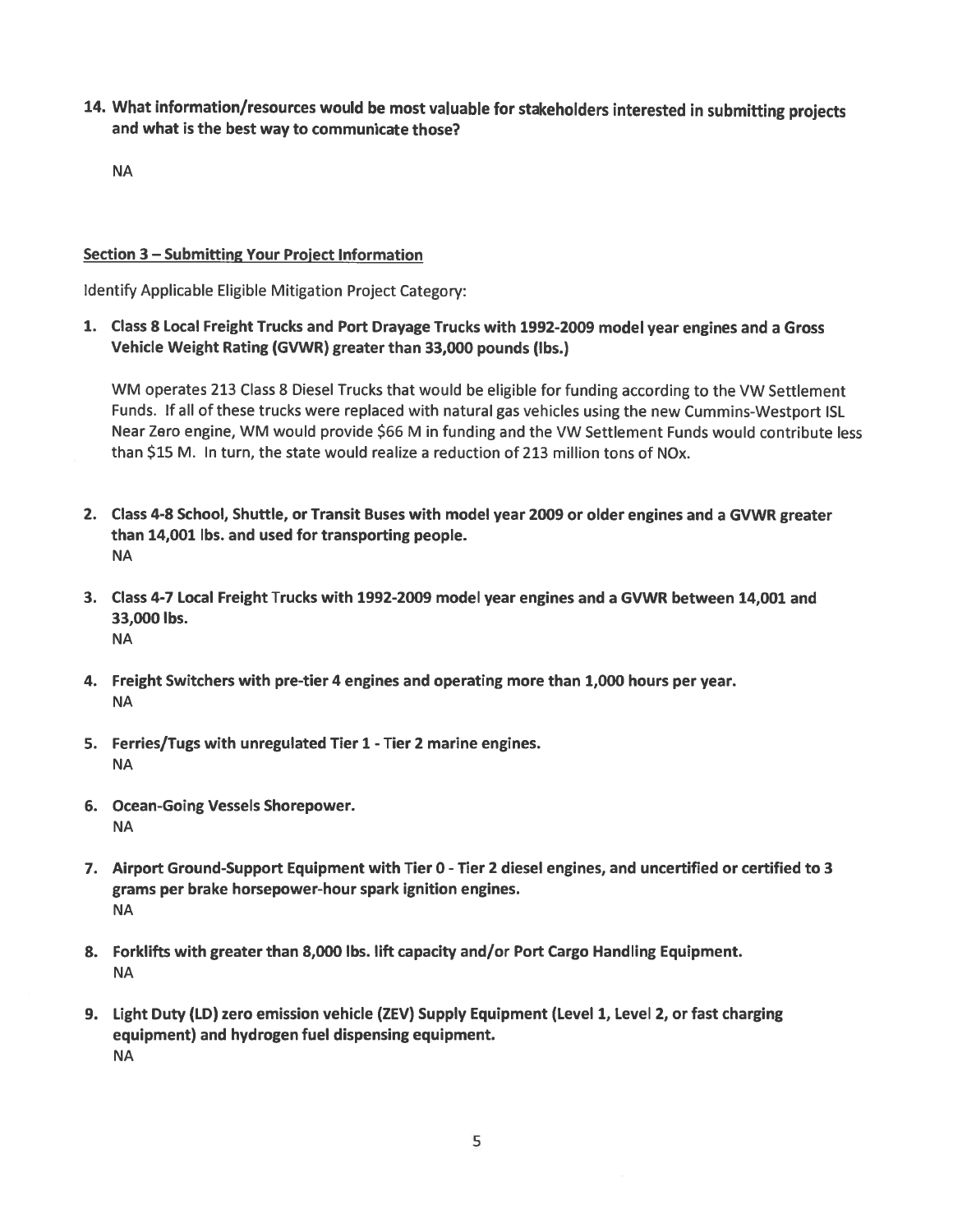14. What information/resources would be most valuable for stakeholders interested in submitting projects and what is the best way to communicate those?

**NA** 

#### Section 3 – Submitting Your Project Information

Identify Applicable Eligible Mitigation Project Category:

1. Class 8 Local Freight Trucks and Port Drayage Trucks with 1992-2009 model year engines and a Gross Vehicle Weight Rating (GVWR) greater than 33,000 pounds (lbs.)

WM operates 213 Class 8 Diesel Trucks that would be eligible for funding according to the VW Settlement Funds. If all of these trucks were replaced with natural gas vehicles using the new Cummins-Westport ISL Near Zero engine, WM would provide \$66 M in funding and the VW Settlement Funds would contribute less than \$15 M. In turn, the state would realize a reduction of 213 million tons of NOx.

- 2. Class 4-8 School, Shuttle, or Transit Buses with model year 2009 or older engines and a GVWR greater than 14,001 lbs. and used for transporting people. **NA**
- 3. Class 4-7 Local Freight Trucks with 1992-2009 model year engines and a GVWR between 14,001 and 33,000 lbs. **NA**
- 4. Freight Switchers with pre-tier 4 engines and operating more than 1,000 hours per year. **NA**
- 5. Ferries/Tugs with unregulated Tier 1 Tier 2 marine engines. **NA**
- 6. Ocean-Going Vessels Shorepower. **NA**
- 7. Airport Ground-Support Equipment with Tier 0 Tier 2 diesel engines, and uncertified or certified to 3 grams per brake horsepower-hour spark ignition engines. **NA**
- 8. Forklifts with greater than 8,000 lbs. lift capacity and/or Port Cargo Handling Equipment. **NA**
- 9. Light Duty (LD) zero emission vehicle (ZEV) Supply Equipment (Level 1, Level 2, or fast charging equipment) and hydrogen fuel dispensing equipment. **NA**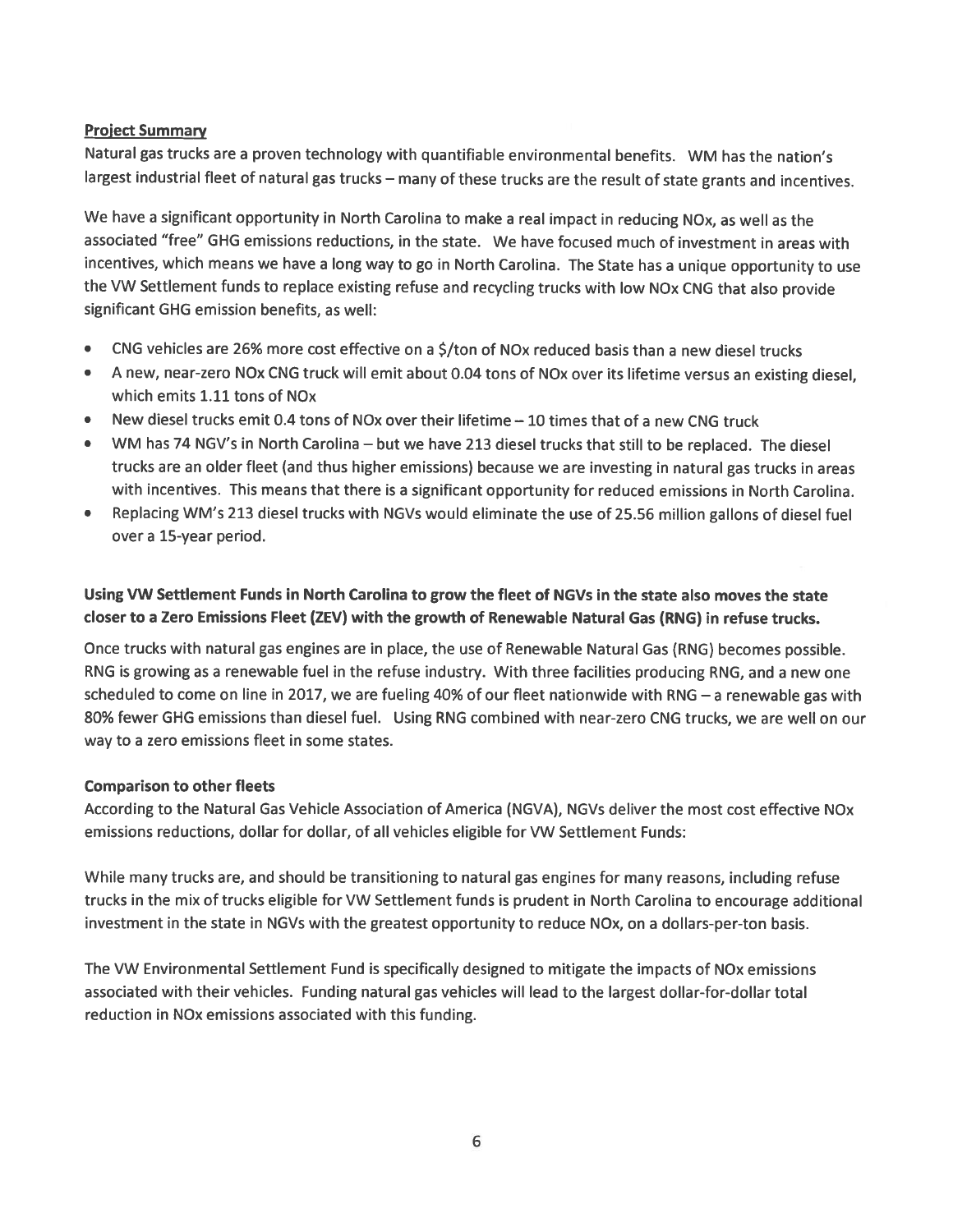#### **Project Summary**

Natural gas trucks are a proven technology with quantifiable environmental benefits. WM has the nation's largest industrial fleet of natural gas trucks - many of these trucks are the result of state grants and incentives.

We have a significant opportunity in North Carolina to make a real impact in reducing NOx, as well as the associated "free" GHG emissions reductions, in the state. We have focused much of investment in areas with incentives, which means we have a long way to go in North Carolina. The State has a unique opportunity to use the VW Settlement funds to replace existing refuse and recycling trucks with low NOx CNG that also provide significant GHG emission benefits, as well:

- CNG vehicles are 26% more cost effective on a \$/ton of NOx reduced basis than a new diesel trucks
- A new, near-zero NOx CNG truck will emit about 0.04 tons of NOx over its lifetime versus an existing diesel,  $\bullet$ which emits 1.11 tons of NO<sub>x</sub>
- New diesel trucks emit 0.4 tons of NOx over their lifetime 10 times that of a new CNG truck
- WM has 74 NGV's in North Carolina but we have 213 diesel trucks that still to be replaced. The diesel trucks are an older fleet (and thus higher emissions) because we are investing in natural gas trucks in areas with incentives. This means that there is a significant opportunity for reduced emissions in North Carolina.
- Replacing WM's 213 diesel trucks with NGVs would eliminate the use of 25.56 million gallons of diesel fuel over a 15-year period.

# Using VW Settlement Funds in North Carolina to grow the fleet of NGVs in the state also moves the state closer to a Zero Emissions Fleet (ZEV) with the growth of Renewable Natural Gas (RNG) in refuse trucks.

Once trucks with natural gas engines are in place, the use of Renewable Natural Gas (RNG) becomes possible. RNG is growing as a renewable fuel in the refuse industry. With three facilities producing RNG, and a new one scheduled to come on line in 2017, we are fueling 40% of our fleet nationwide with RNG  $-$  a renewable gas with 80% fewer GHG emissions than diesel fuel. Using RNG combined with near-zero CNG trucks, we are well on our way to a zero emissions fleet in some states.

#### **Comparison to other fleets**

According to the Natural Gas Vehicle Association of America (NGVA), NGVs deliver the most cost effective NOx emissions reductions, dollar for dollar, of all vehicles eligible for VW Settlement Funds:

While many trucks are, and should be transitioning to natural gas engines for many reasons, including refuse trucks in the mix of trucks eligible for VW Settlement funds is prudent in North Carolina to encourage additional investment in the state in NGVs with the greatest opportunity to reduce NOx, on a dollars-per-ton basis.

The VW Environmental Settlement Fund is specifically designed to mitigate the impacts of NOx emissions associated with their vehicles. Funding natural gas vehicles will lead to the largest dollar-for-dollar total reduction in NOx emissions associated with this funding.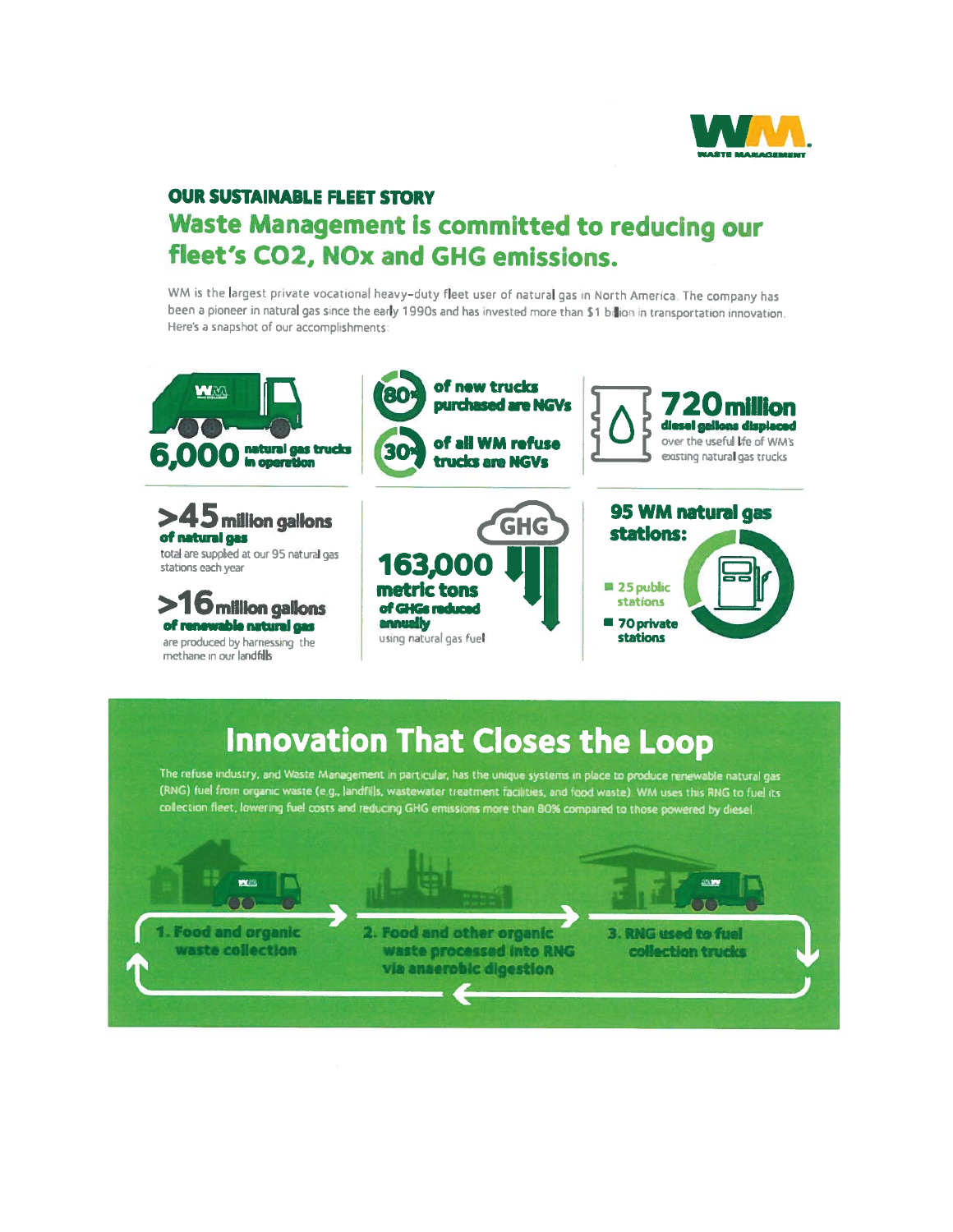

# **OUR SUSTAINABLE FLEET STORY** Waste Management is committed to reducing our fleet's CO2, NOx and GHG emissions.

WM is the largest private vocational heavy-duty fleet user of natural gas in North America. The company has been a pioneer in natural gas since the early 1990s and has invested more than \$1 billion in transportation innovation. Here's a snapshot of our accomplishments:



# **Innovation That Closes the Loop**

The refuse industry, and Waste Management in particular, has the unique systems in place to produce renewable natural gas (RNG) fuel from organic waste (e.g., landfills, wastewater treatment facilities, and food waste) WM uses this RNG to fuel its collection fleet, lowering fuel costs and reducing GHG emissions more than 80% compared to those powered by diesel.

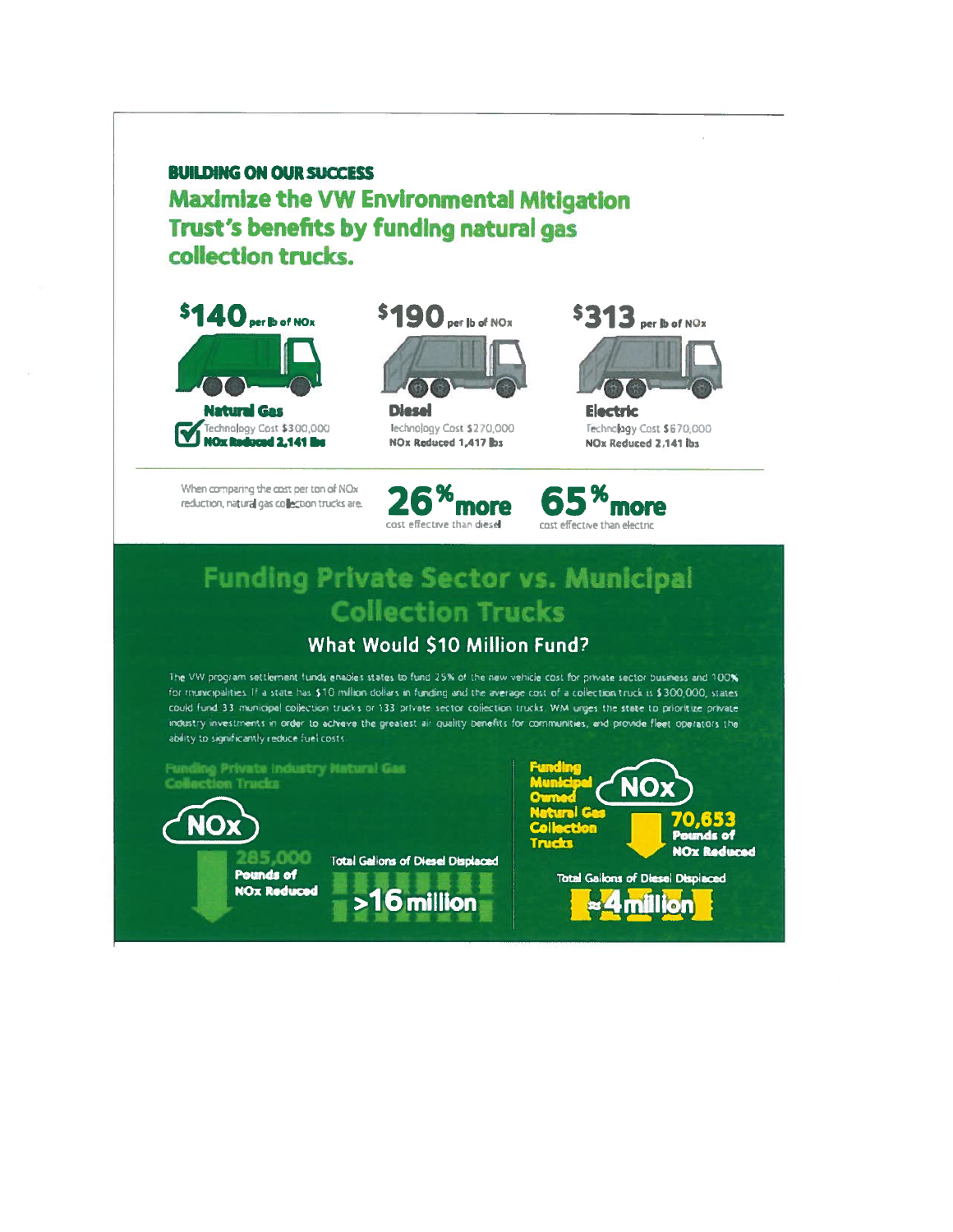**BUILDING ON OUR SUCCESS Maximize the VW Environmental Mitigation** Trust's benefits by funding natural gas collection trucks.



When comparing the cost per ton of NOx reduction, natural gas collection trucks are:











**Electric** Technology Cost \$670,000 NOx Reduced 2,141 lbs



# **Funding Private Sector vs. Municipal Collection Trucks**

# What Would \$10 Million Fund?

The VW program settlement funds enables states to fund 25% of the new vehicle cost for private sector business and 100%. for municipalities. If a state has \$10 million dollars in funding and the average cost of a collection truck is \$300,000, states could fund 33 municipal collection trucks or 133 private sector collection trucks. WM urges the state to prioritize private industry investments in order to achieve the greatest air quality benefits for communities, and provide fleet operators the ability to significantly reduce fuel costs.

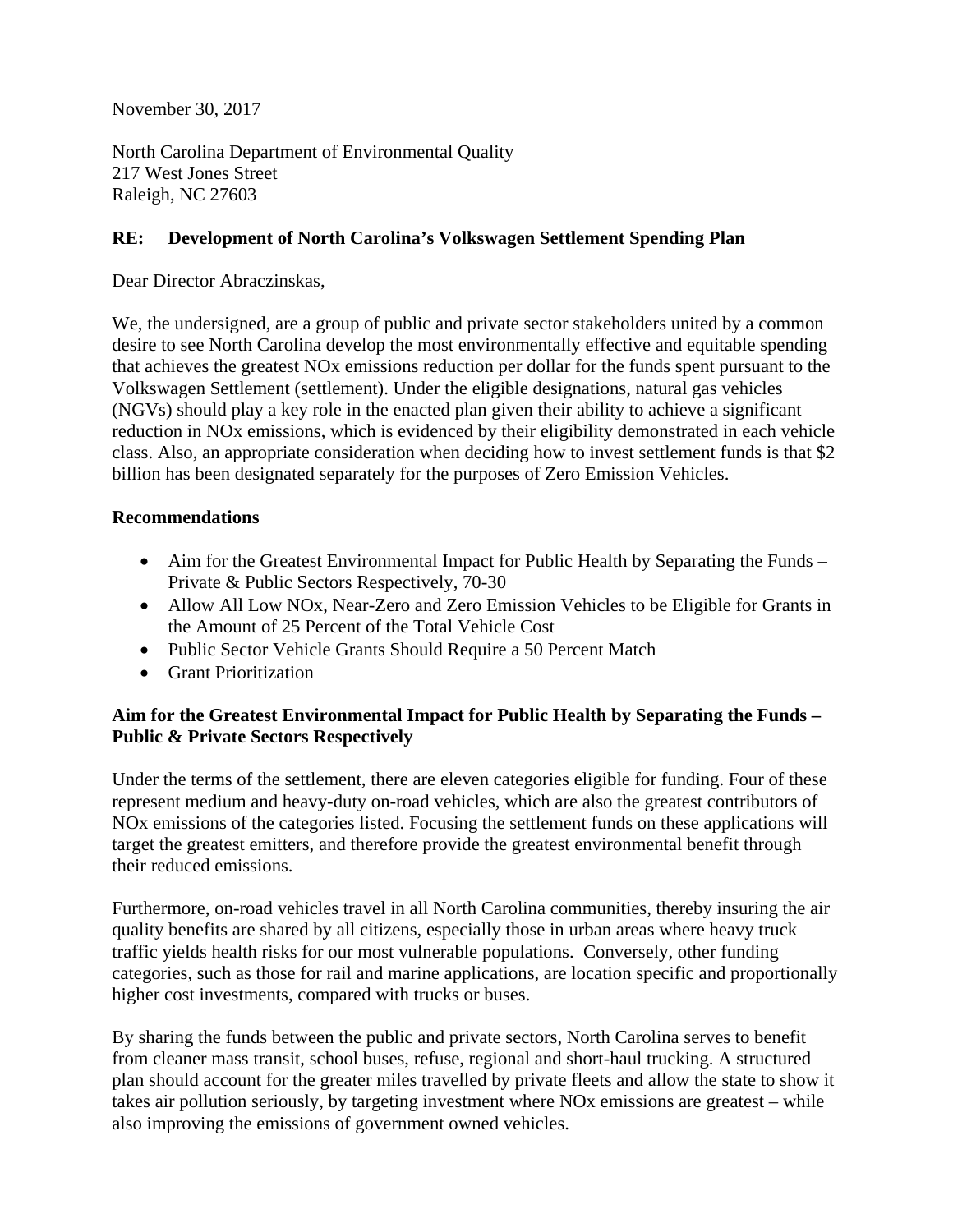November 30, 2017

North Carolina Department of Environmental Quality 217 West Jones Street Raleigh, NC 27603

# **RE: Development of North Carolina's Volkswagen Settlement Spending Plan**

Dear Director Abraczinskas,

We, the undersigned, are a group of public and private sector stakeholders united by a common desire to see North Carolina develop the most environmentally effective and equitable spending that achieves the greatest NOx emissions reduction per dollar for the funds spent pursuant to the Volkswagen Settlement (settlement). Under the eligible designations, natural gas vehicles (NGVs) should play a key role in the enacted plan given their ability to achieve a significant reduction in NOx emissions, which is evidenced by their eligibility demonstrated in each vehicle class. Also, an appropriate consideration when deciding how to invest settlement funds is that \$2 billion has been designated separately for the purposes of Zero Emission Vehicles.

# **Recommendations**

- Aim for the Greatest Environmental Impact for Public Health by Separating the Funds Private & Public Sectors Respectively, 70-30
- Allow All Low NOx, Near-Zero and Zero Emission Vehicles to be Eligible for Grants in the Amount of 25 Percent of the Total Vehicle Cost
- Public Sector Vehicle Grants Should Require a 50 Percent Match
- Grant Prioritization

# **Aim for the Greatest Environmental Impact for Public Health by Separating the Funds – Public & Private Sectors Respectively**

Under the terms of the settlement, there are eleven categories eligible for funding. Four of these represent medium and heavy-duty on-road vehicles, which are also the greatest contributors of NOx emissions of the categories listed. Focusing the settlement funds on these applications will target the greatest emitters, and therefore provide the greatest environmental benefit through their reduced emissions.

Furthermore, on-road vehicles travel in all North Carolina communities, thereby insuring the air quality benefits are shared by all citizens, especially those in urban areas where heavy truck traffic yields health risks for our most vulnerable populations. Conversely, other funding categories, such as those for rail and marine applications, are location specific and proportionally higher cost investments, compared with trucks or buses.

By sharing the funds between the public and private sectors, North Carolina serves to benefit from cleaner mass transit, school buses, refuse, regional and short-haul trucking. A structured plan should account for the greater miles travelled by private fleets and allow the state to show it takes air pollution seriously, by targeting investment where NOx emissions are greatest – while also improving the emissions of government owned vehicles.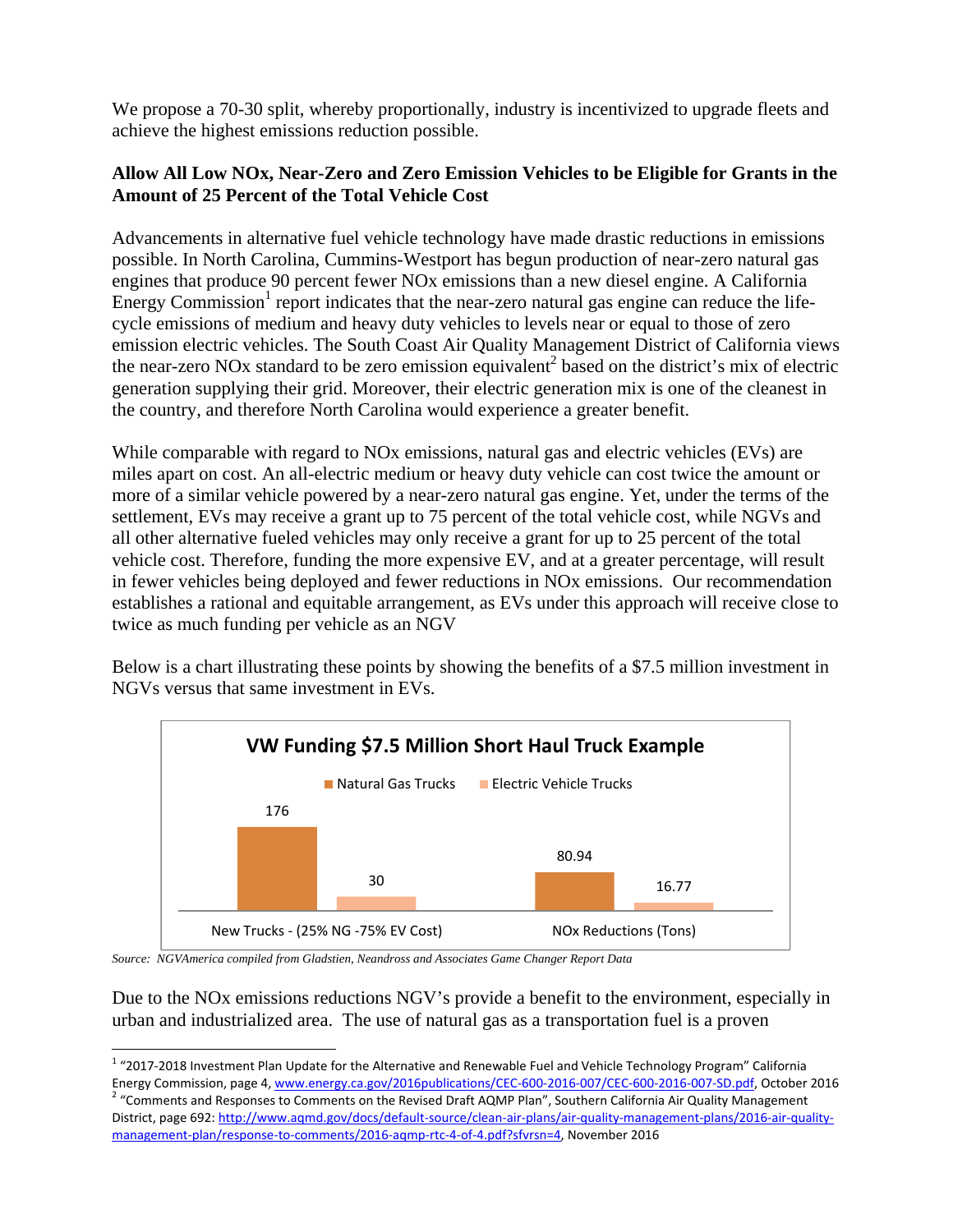We propose a 70-30 split, whereby proportionally, industry is incentivized to upgrade fleets and achieve the highest emissions reduction possible.

# **Allow All Low NOx, Near-Zero and Zero Emission Vehicles to be Eligible for Grants in the Amount of 25 Percent of the Total Vehicle Cost**

Advancements in alternative fuel vehicle technology have made drastic reductions in emissions possible. In North Carolina, Cummins-Westport has begun production of near-zero natural gas engines that produce 90 percent fewer NOx emissions than a new diesel engine. A California Energy Commission<sup>1</sup> report indicates that the near-zero natural gas engine can reduce the lifecycle emissions of medium and heavy duty vehicles to levels near or equal to those of zero emission electric vehicles. The South Coast Air Quality Management District of California views the near-zero NOx standard to be zero emission equivalent<sup>2</sup> based on the district's mix of electric generation supplying their grid. Moreover, their electric generation mix is one of the cleanest in the country, and therefore North Carolina would experience a greater benefit.

While comparable with regard to NOx emissions, natural gas and electric vehicles (EVs) are miles apart on cost. An all-electric medium or heavy duty vehicle can cost twice the amount or more of a similar vehicle powered by a near-zero natural gas engine. Yet, under the terms of the settlement, EVs may receive a grant up to 75 percent of the total vehicle cost, while NGVs and all other alternative fueled vehicles may only receive a grant for up to 25 percent of the total vehicle cost. Therefore, funding the more expensive EV, and at a greater percentage, will result in fewer vehicles being deployed and fewer reductions in NOx emissions. Our recommendation establishes a rational and equitable arrangement, as EVs under this approach will receive close to twice as much funding per vehicle as an NGV

Below is a chart illustrating these points by showing the benefits of a \$7.5 million investment in NGVs versus that same investment in EVs.



*Source: NGVAmerica compiled from Gladstien, Neandross and Associates Game Changer Report Data* 

Due to the NOx emissions reductions NGV's provide a benefit to the environment, especially in urban and industrialized area. The use of natural gas as a transportation fuel is a proven

<sup>1</sup> "2017‐2018 Investment Plan Update for the Alternative and Renewable Fuel and Vehicle Technology Program" California Energy Commission, page 4, www.energy.ca.gov/2016publications/CEC-600-2016-007/CEC-600-2016-007-SD.pdf, October 2016<br><sup>2</sup> "Comments and Responses to Comments on the Revised Draft AQMP Plan", Southern California Air Quality District, page 692: http://www.aqmd.gov/docs/default‐source/clean‐air‐plans/air‐quality‐management‐plans/2016‐air‐quality‐ management‐plan/response‐to‐comments/2016‐aqmp‐rtc‐4‐of‐4.pdf?sfvrsn=4, November 2016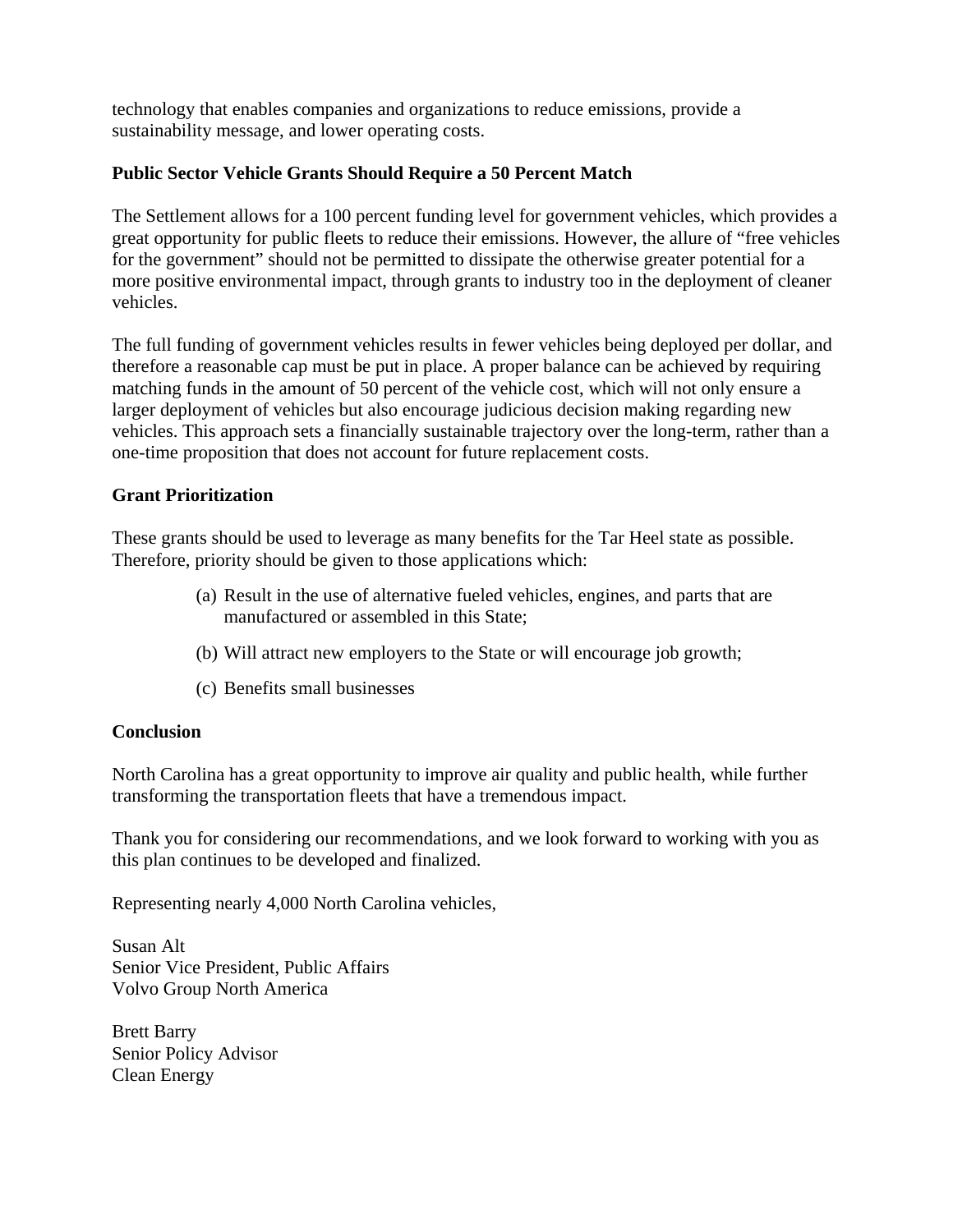technology that enables companies and organizations to reduce emissions, provide a sustainability message, and lower operating costs.

# **Public Sector Vehicle Grants Should Require a 50 Percent Match**

The Settlement allows for a 100 percent funding level for government vehicles, which provides a great opportunity for public fleets to reduce their emissions. However, the allure of "free vehicles for the government" should not be permitted to dissipate the otherwise greater potential for a more positive environmental impact, through grants to industry too in the deployment of cleaner vehicles.

The full funding of government vehicles results in fewer vehicles being deployed per dollar, and therefore a reasonable cap must be put in place. A proper balance can be achieved by requiring matching funds in the amount of 50 percent of the vehicle cost, which will not only ensure a larger deployment of vehicles but also encourage judicious decision making regarding new vehicles. This approach sets a financially sustainable trajectory over the long-term, rather than a one-time proposition that does not account for future replacement costs.

# **Grant Prioritization**

These grants should be used to leverage as many benefits for the Tar Heel state as possible. Therefore, priority should be given to those applications which:

- (a) Result in the use of alternative fueled vehicles, engines, and parts that are manufactured or assembled in this State;
- (b) Will attract new employers to the State or will encourage job growth;
- (c) Benefits small businesses

#### **Conclusion**

North Carolina has a great opportunity to improve air quality and public health, while further transforming the transportation fleets that have a tremendous impact.

Thank you for considering our recommendations, and we look forward to working with you as this plan continues to be developed and finalized.

Representing nearly 4,000 North Carolina vehicles,

Susan Alt Senior Vice President, Public Affairs Volvo Group North America

Brett Barry Senior Policy Advisor Clean Energy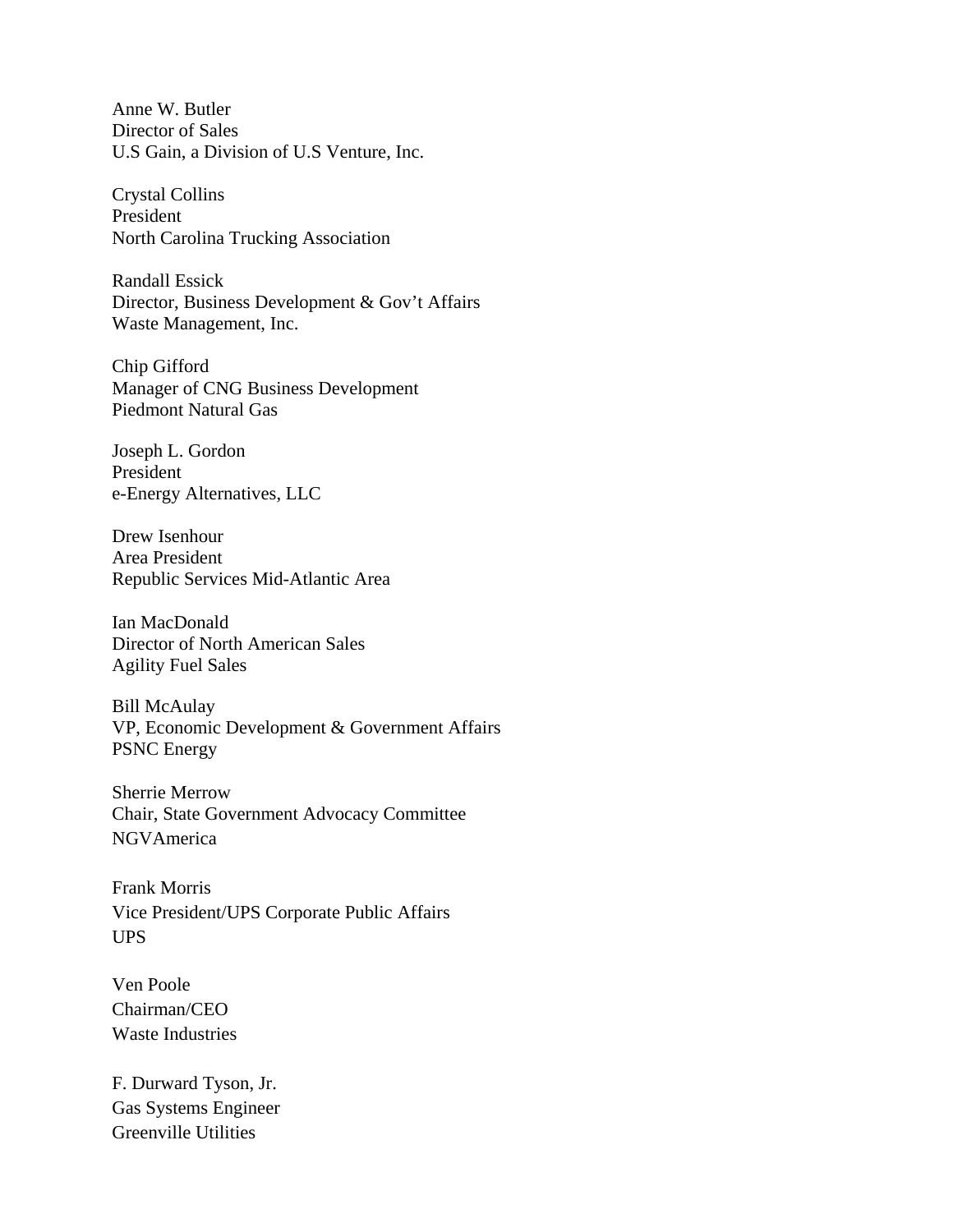Anne W. Butler Director of Sales U.S Gain, a Division of U.S Venture, Inc.

Crystal Collins President North Carolina Trucking Association

Randall Essick Director, Business Development & Gov't Affairs Waste Management, Inc.

Chip Gifford Manager of CNG Business Development Piedmont Natural Gas

Joseph L. Gordon President e-Energy Alternatives, LLC

Drew Isenhour Area President Republic Services Mid-Atlantic Area

Ian MacDonald Director of North American Sales Agility Fuel Sales

Bill McAulay VP, Economic Development & Government Affairs PSNC Energy

Sherrie Merrow Chair, State Government Advocacy Committee NGVAmerica

Frank Morris Vice President/UPS Corporate Public Affairs UPS

Ven Poole Chairman/CEO Waste Industries

F. Durward Tyson, Jr. Gas Systems Engineer Greenville Utilities